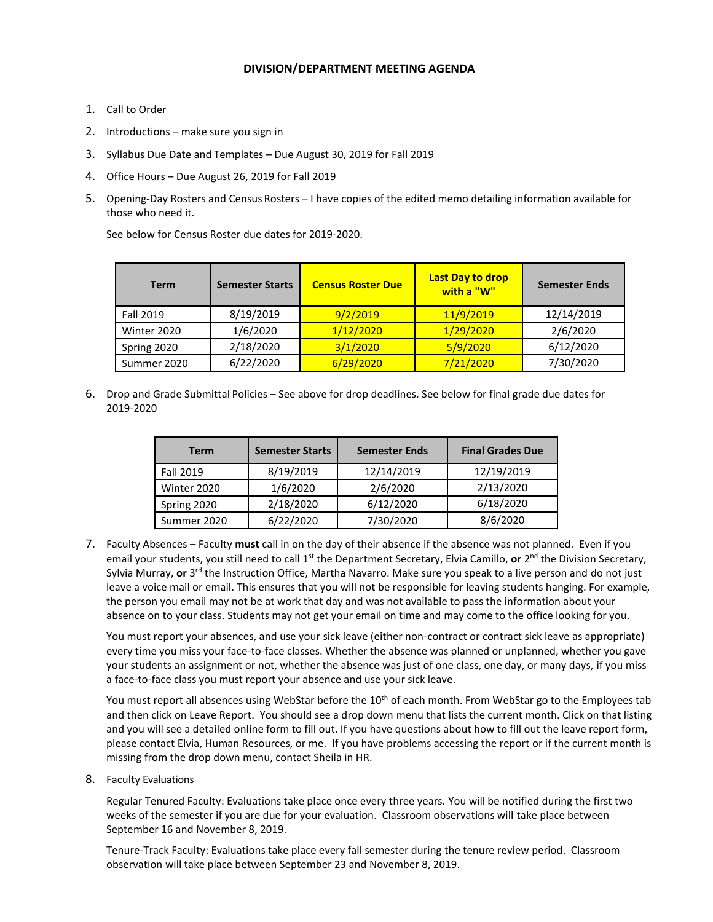## **DIVISION/DEPARTMENT MEETING AGENDA**

- 1. Call to Order
- 2. Introductions make sure you sign in
- 3. Syllabus Due Date and Templates Due August 30, 2019 for Fall 2019
- 4. Office Hours Due August 26, 2019 for Fall 2019
- 5. Opening-Day Rosters and Census Rosters I have copies of the edited memo detailing information available for those who need it.

See below for Census Roster due dates for 2019-2020.

| <b>Term</b>      | <b>Semester Starts</b> | <b>Census Roster Due</b> | <b>Last Day to drop</b><br>with a "W" | <b>Semester Ends</b> |
|------------------|------------------------|--------------------------|---------------------------------------|----------------------|
| <b>Fall 2019</b> | 8/19/2019              | 9/2/2019                 | 11/9/2019                             | 12/14/2019           |
| Winter 2020      | 1/6/2020               | 1/29/2020<br>1/12/2020   |                                       | 2/6/2020             |
| Spring 2020      | 2/18/2020              | 3/1/2020<br>5/9/2020     |                                       | 6/12/2020            |
| Summer 2020      | 6/22/2020              | 6/29/2020                | 7/21/2020                             | 7/30/2020            |

6. Drop and Grade Submittal Policies – See above for drop deadlines. See below for final grade due dates for 2019-2020

| <b>Term</b> | <b>Semester Starts</b> | <b>Semester Ends</b> | <b>Final Grades Due</b> |
|-------------|------------------------|----------------------|-------------------------|
| Fall 2019   | 8/19/2019              | 12/14/2019           | 12/19/2019              |
| Winter 2020 | 1/6/2020               | 2/6/2020             | 2/13/2020               |
| Spring 2020 | 2/18/2020              | 6/12/2020            | 6/18/2020               |
| Summer 2020 | 6/22/2020              | 7/30/2020            | 8/6/2020                |

7. Faculty Absences – Faculty **must** call in on the day of their absence if the absence was not planned. Even if you email your students, you still need to call 1<sup>st</sup> the Department Secretary, Elvia Camillo, or 2<sup>nd</sup> the Division Secretary, Sylvia Murray, or 3<sup>rd</sup> the Instruction Office, Martha Navarro. Make sure you speak to a live person and do not just leave a voice mail or email. This ensures that you will not be responsible for leaving students hanging. For example, the person you email may not be at work that day and was not available to pass the information about your absence on to your class. Students may not get your email on time and may come to the office looking for you.

You must report your absences, and use your sick leave (either non-contract or contract sick leave as appropriate) every time you miss your face-to-face classes. Whether the absence was planned or unplanned, whether you gave your students an assignment or not, whether the absence was just of one class, one day, or many days, if you miss a face-to-face class you must report your absence and use your sick leave.

You must report all absences using WebStar before the 10<sup>th</sup> of each month. From WebStar go to the Employees tab and then click on Leave Report. You should see a drop down menu that lists the current month. Click on that listing and you will see a detailed online form to fill out. If you have questions about how to fill out the leave report form, please contact Elvia, Human Resources, or me. If you have problems accessing the report or if the current month is missing from the drop down menu, contact Sheila in HR.

8. Faculty Evaluations

Regular Tenured Faculty: Evaluations take place once every three years. You will be notified during the first two weeks of the semester if you are due for your evaluation. Classroom observations will take place between September 16 and November 8, 2019.

Tenure-Track Faculty: Evaluations take place every fall semester during the tenure review period. Classroom observation will take place between September 23 and November 8, 2019.